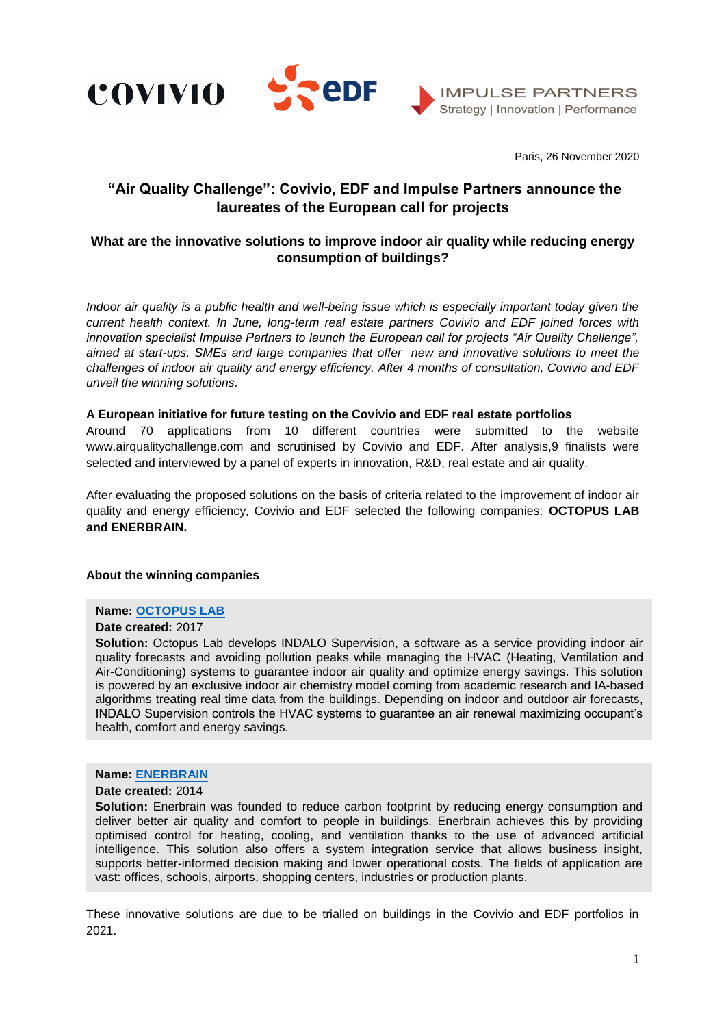





Paris, 26 November 2020

# **"Air Quality Challenge": Covivio, EDF and Impulse Partners announce the laureates of the European call for projects**

# **What are the innovative solutions to improve indoor air quality while reducing energy consumption of buildings?**

*Indoor air quality is a public health and well-being issue which is especially important today given the current health context. In June, long-term real estate partners Covivio and EDF joined forces with innovation specialist Impulse Partners to launch the European call for projects "Air Quality Challenge", aimed at start-ups, SMEs and large companies that offer new and innovative solutions to meet the challenges of indoor air quality and energy efficiency. After 4 months of consultation, Covivio and EDF unveil the winning solutions.*

# **A European initiative for future testing on the Covivio and EDF real estate portfolios**

Around 70 applications from 10 different countries were submitted to the website www.airqualitychallenge.com and scrutinised by Covivio and EDF. After analysis,9 finalists were selected and interviewed by a panel of experts in innovation, R&D, real estate and air quality.

After evaluating the proposed solutions on the basis of criteria related to the improvement of indoor air quality and energy efficiency, Covivio and EDF selected the following companies: **OCTOPUS LAB and ENERBRAIN.**

#### **About the winning companies**

# **Name: [OCTOPUS LAB](https://octopuslab.fr/language/en/)**

### **Date created:** 2017

Solution: Octopus Lab develops INDALO Supervision, a software as a service providing indoor air quality forecasts and avoiding pollution peaks while managing the HVAC (Heating, Ventilation and Air-Conditioning) systems to guarantee indoor air quality and optimize energy savings. This solution is powered by an exclusive indoor air chemistry model coming from academic research and IA-based algorithms treating real time data from the buildings. Depending on indoor and outdoor air forecasts, INDALO Supervision controls the HVAC systems to guarantee an air renewal maximizing occupant's health, comfort and energy savings.

## **Name: [ENERBRAIN](https://www.enerbrain.com/fr/)**

#### **Date created:** 2014

**Solution:** Enerbrain was founded to reduce carbon footprint by reducing energy consumption and deliver better air quality and comfort to people in buildings. Enerbrain achieves this by providing optimised control for heating, cooling, and ventilation thanks to the use of advanced artificial intelligence. This solution also offers a system integration service that allows business insight, supports better-informed decision making and lower operational costs. The fields of application are vast: offices, schools, airports, shopping centers, industries or production plants.

These innovative solutions are due to be trialled on buildings in the Covivio and EDF portfolios in 2021.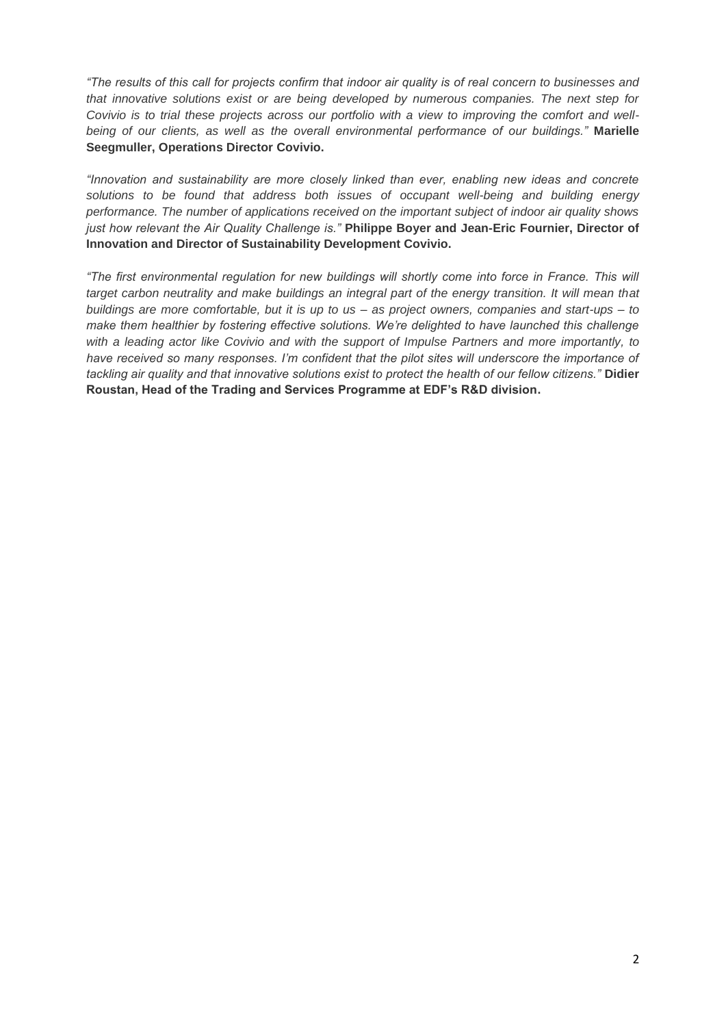*"The results of this call for projects confirm that indoor air quality is of real concern to businesses and that innovative solutions exist or are being developed by numerous companies. The next step for Covivio is to trial these projects across our portfolio with a view to improving the comfort and wellbeing of our clients, as well as the overall environmental performance of our buildings."* **Marielle Seegmuller, Operations Director Covivio.**

*"Innovation and sustainability are more closely linked than ever, enabling new ideas and concrete solutions to be found that address both issues of occupant well-being and building energy performance. The number of applications received on the important subject of indoor air quality shows just how relevant the Air Quality Challenge is."* **Philippe Boyer and Jean-Eric Fournier, Director of Innovation and Director of Sustainability Development Covivio.**

*"The first environmental regulation for new buildings will shortly come into force in France. This will target carbon neutrality and make buildings an integral part of the energy transition. It will mean that buildings are more comfortable, but it is up to us – as project owners, companies and start-ups – to make them healthier by fostering effective solutions. We're delighted to have launched this challenge with a leading actor like Covivio and with the support of Impulse Partners and more importantly, to*  have received so many responses. I'm confident that the pilot sites will underscore the importance of *tackling air quality and that innovative solutions exist to protect the health of our fellow citizens."* **Didier Roustan, Head of the Trading and Services Programme at EDF's R&D division.**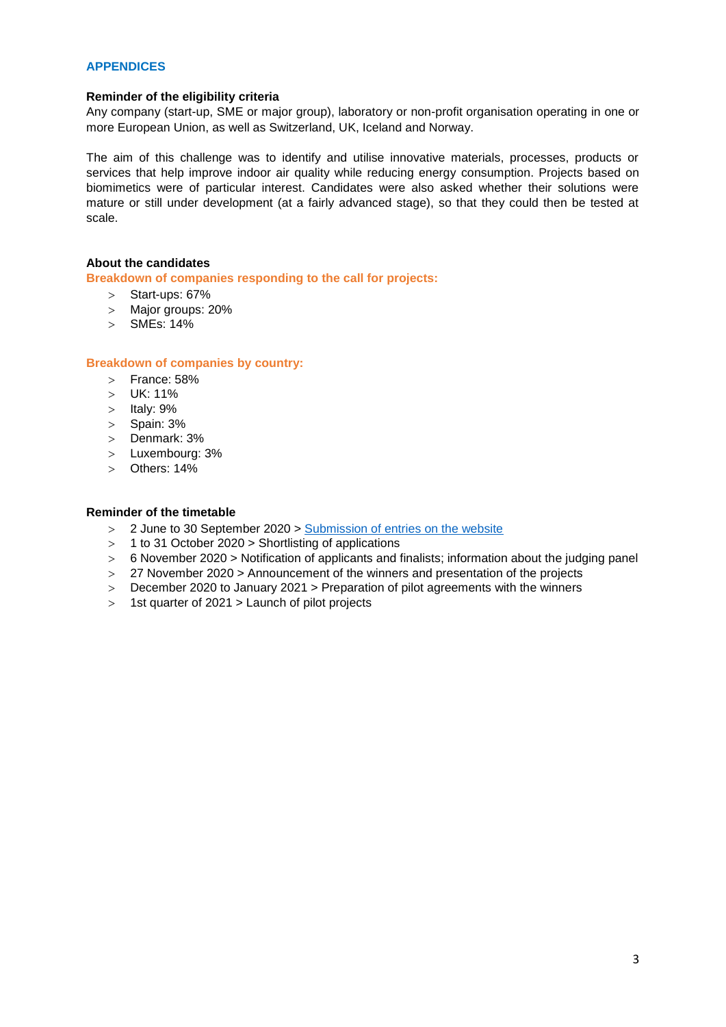## **APPENDICES**

### **Reminder of the eligibility criteria**

Any company (start-up, SME or major group), laboratory or non-profit organisation operating in one or more European Union, as well as Switzerland, UK, Iceland and Norway.

The aim of this challenge was to identify and utilise innovative materials, processes, products or services that help improve indoor air quality while reducing energy consumption. Projects based on biomimetics were of particular interest. Candidates were also asked whether their solutions were mature or still under development (at a fairly advanced stage), so that they could then be tested at scale.

# **About the candidates**

**Breakdown of companies responding to the call for projects:**

- $>$  Start-ups: 67%
- Major groups: 20%
- SMEs: 14%

#### **Breakdown of companies by country:**

- $>$  France: 58%
- UK: 11%
- $>$  Italy: 9%
- $>$  Spain: 3%
- > Denmark: 3%
- Luxembourg: 3%
- Others: 14%

#### **Reminder of the timetable**

- 2 June to 30 September 2020 > [Submission of entries on the website](https://www.airqualitychallenge.com/)
- $>$  1 to 31 October 2020  $>$  Shortlisting of applications
- $> 6$  November 2020  $>$  Notification of applicants and finalists; information about the judging panel
- 27 November 2020 > Announcement of the winners and presentation of the projects
- December 2020 to January 2021 > Preparation of pilot agreements with the winners
- $>$  1st quarter of 2021 > Launch of pilot projects